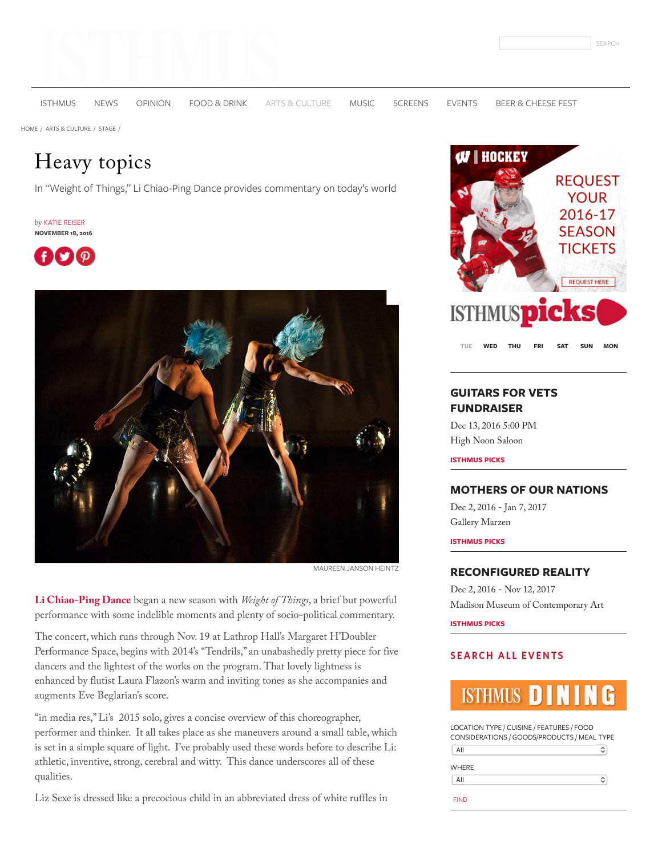[ISTHMUS](http://isthmus.com/) [NEWS](http://isthmus.com/news) [OPINION](http://isthmus.com/opinion) [FOOD & DRINK](http://isthmus.com/food-drink) [ARTS & CULTURE](http://isthmus.com/arts) [MUSIC](http://isthmus.com/music) [SCREENS](http://isthmus.com/screens) [EVENTS](http://isthmus.com/all-events/calendar-of-events-index) [BEER & CHEESE FEST](http://bit.ly/2gcfLDi)

[HOME /](http://isthmus.com/) [ARTS & CULTURE /](http://isthmus.com/arts) [STAGE /](http://isthmus.com/arts/stage)

# Heavy topics

In "Weight of Things," Li Chiao-Ping Dance provides commentary on today's world

by [KATIE REISER](http://isthmus.com/topics/katie-reiser/) **NOVEMBER 18, 2016**





MAUREEN JANSON HEINTZ

**[Li Chiao-Ping Dance](http://www.lichiaopingdance.org/)** began a new season with *Weight of Things*, a brief but powerful performance with some indelible moments and plenty of socio-political commentary.

The concert, which runs through Nov. 19 at Lathrop Hall's Margaret H'Doubler Performance Space, begins with 2014's "Tendrils," an unabashedly pretty piece for five dancers and the lightest of the works on the program. That lovely lightness is enhanced by flutist Laura Flazon's warm and inviting tones as she accompanies and augments Eve Beglarian's score.

"in media res," Li's 2015 solo, gives a concise overview of this choreographer, performer and thinker. It all takes place as she maneuvers around a small table, which is set in a simple square of light. I've probably used these words before to describe Li: athletic, inventive, strong, cerebral and witty. This dance underscores all of these qualities.

Liz Sexe is dressed like a precocious child in an abbreviated dress of white ruffles in



**[TUE](javascript:void(null);) [WED](javascript:void(null);) [THU](javascript:void(null);) [FRI](javascript:void(null);) [SAT](javascript:void(null);) [SUN](javascript:void(null);) [MON](javascript:void(null);)**

# **[GUITARS FOR VETS](http://isthmus.com/events/the-sparks-band-mystery-achievers-the-jett-sett/) FUNDRAISER**

Dec 13, 2016 5:00 PM [High Noon Saloon](http://isthmus.com/locations/high-noon-saloon/)

**ISTHMUS PICKS**

## **[MOTHERS OF OUR NATIONS](http://isthmus.com/events/mothers-of-our-nations/)**

Dec 2, 2016 - Jan 7, 2017 [Gallery Marzen](http://isthmus.com/locations/gallery-marzen/)

**ISTHMUS PICKS**

## **[RECONFIGURED REALITY](http://isthmus.com/events/reconfigured-reality/)**

Dec 2, 2016 - Nov 12, 2017 [Madison Museum of Contemporary Art](http://isthmus.com/locations/madison-museum-of-contemporary-art-2/)

**ISTHMUS PICKS**

## **SEARCH ALL EVENTS**



LOCATION TYPE / CUISINE / FEATURES / FOOD CONSIDERATIONS / GOODS/PRODUCTS / MEAL TYPE  $AII$  $\boldsymbol{\hat{\mathsf{v}}}$ WHERE  $\hat{\cdot}$  $\sqrt{All}$ 

FIND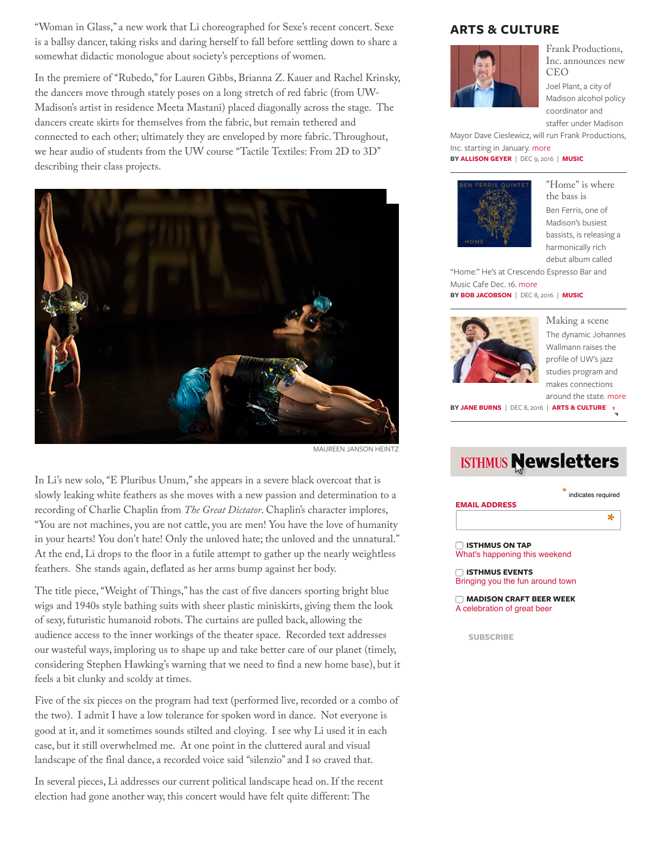"Woman in Glass," a new work that Li choreographed for Sexe's recent concert. Sexe **ARTS & CULTURE** is a ballsy dancer, taking risks and daring herself to fall before settling down to share a somewhat didactic monologue about society's perceptions of women.

In the premiere of "Rubedo," for Lauren Gibbs, Brianna Z. Kauer and Rachel Krinsky, the dancers move through stately poses on a long stretch of red fabric (from UW-Madison's artist in residence Meeta Mastani) placed diagonally across the stage. The dancers create skirts for themselves from the fabric, but remain tethered and connected to each other; ultimately they are enveloped by more fabric. Throughout, we hear audio of students from the UW course "Tactile Textiles: From 2D to 3D" describing their class projects.



MAUREEN JANSON HEINTZ

In Li's new solo, "E Pluribus Unum," she appears in a severe black overcoat that is slowly leaking white feathers as she moves with a new passion and determination to a recording of Charlie Chaplin from *The Great Dictator*. Chaplin's character implores, "You are not machines, you are not cattle, you are men! You have the love of humanity in your hearts! You don't hate! Only the unloved hate; the unloved and the unnatural." At the end, Li drops to the floor in a futile attempt to gather up the nearly weightless feathers. She stands again, deflated as her arms bump against her body.

The title piece, "Weight of Things," has the cast of five dancers sporting bright blue wigs and 1940s style bathing suits with sheer plastic miniskirts, giving them the look of sexy, futuristic humanoid robots. The curtains are pulled back, allowing the audience access to the inner workings of the theater space. Recorded text addresses our wasteful ways, imploring us to shape up and take better care of our planet (timely, considering Stephen Hawking's warning that we need to find a new home base), but it feels a bit clunky and scoldy at times.

Five of the six pieces on the program had text (performed live, recorded or a combo of the two). I admit I have a low tolerance for spoken word in dance. Not everyone is good at it, and it sometimes sounds stilted and cloying. I see why Li used it in each case, but it still overwhelmed me. At one point in the cluttered aural and visual landscape of the final dance, a recorded voice said "silenzio" and I so craved that.

In several pieces, Li addresses our current political landscape head on. If the recent election had gone another way, this concert would have felt quite different: The



Frank Productions, [Inc. announces new](http://isthmus.com/music/frank-productions-inc-announces-new-ceo/) CEO

Joel Plant, a city of Madison alcohol policy coordinator and staffer under Madison

Mayor Dave Cieslewicz, will run Frank Productions, Inc. starting in January. [more](http://isthmus.com/music/frank-productions-inc-announces-new-ceo/)

**BY [ALLISON GEYER](http://isthmus.com/topics/allison-geyer/)** | DEC 9, 2016 | **[MUSIC](http://isthmus.com/music)**



["Home" is where](http://isthmus.com/music/ben-ferris-bassist-debut-album-home/) the bass is Ben Ferris, one of Madison's busiest bassists, is releasing a harmonically rich debut album called

"Home." He's at Crescendo Espresso Bar and Music Cafe Dec. 16. [more](http://isthmus.com/music/ben-ferris-bassist-debut-album-home/) **BY [BOB JACOBSON](http://isthmus.com/topics/bob-jacobson/)** | DEC 8, 2016 | **[MUSIC](http://isthmus.com/music)**



[Making a scene](http://isthmus.com/arts/johannes-wallmann-spreads-the-gospel-of-jazz/) The dynamic Johannes Wallmann raises the profile of UW's jazz studies program and makes connections around the state. [more](http://isthmus.com/arts/johannes-wallmann-spreads-the-gospel-of-jazz/)

**BY [JANE BURNS](http://isthmus.com/topics/jane-burns/)** | DEC 8, 2016 | **[ARTS & CULTURE](http://isthmus.com/arts) [1](http://isthmus.com/arts/johannes-wallmann-spreads-the-gospel-of-jazz/)**

# **ISTHMUS Newsletters**

indicates required



 **ISTHMUS ON TAP** What's happening this weekend

 **ISTHMUS EVENTS** Bringing you the fun around town

 **MADISON CRAFT BEER WEEK** A celebration of great beer

**SUBSCRIBE**